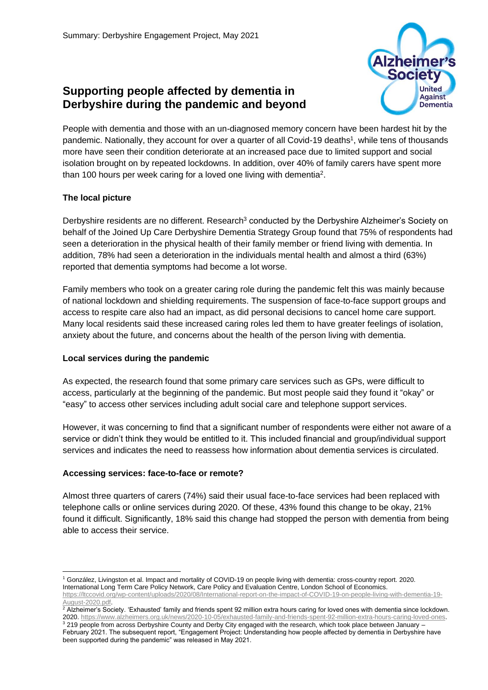# **Supporting people affected by dementia in Derbyshire during the pandemic and beyond**



People with dementia and those with an un-diagnosed memory concern have been hardest hit by the pandemic. Nationally, they account for over a quarter of all Covid-19 deaths<sup>1</sup>, while tens of thousands more have seen their condition deteriorate at an increased pace due to limited support and social isolation brought on by repeated lockdowns. In addition, over 40% of family carers have spent more than 100 hours per week caring for a loved one living with dementia<sup>2</sup>.

## **The local picture**

Derbyshire residents are no different. Research<sup>3</sup> conducted by the Derbyshire Alzheimer's Society on behalf of the Joined Up Care Derbyshire Dementia Strategy Group found that 75% of respondents had seen a deterioration in the physical health of their family member or friend living with dementia. In addition, 78% had seen a deterioration in the individuals mental health and almost a third (63%) reported that dementia symptoms had become a lot worse.

Family members who took on a greater caring role during the pandemic felt this was mainly because of national lockdown and shielding requirements. The suspension of face-to-face support groups and access to respite care also had an impact, as did personal decisions to cancel home care support. Many local residents said these increased caring roles led them to have greater feelings of isolation, anxiety about the future, and concerns about the health of the person living with dementia.

## **Local services during the pandemic**

As expected, the research found that some primary care services such as GPs, were difficult to access, particularly at the beginning of the pandemic. But most people said they found it "okay" or "easy" to access other services including adult social care and telephone support services.

However, it was concerning to find that a significant number of respondents were either not aware of a service or didn't think they would be entitled to it. This included financial and group/individual support services and indicates the need to reassess how information about dementia services is circulated.

## **Accessing services: face-to-face or remote?**

Almost three quarters of carers (74%) said their usual face-to-face services had been replaced with telephone calls or online services during 2020. Of these, 43% found this change to be okay, 21% found it difficult. Significantly, 18% said this change had stopped the person with dementia from being able to access their service.

<sup>1</sup> González, Livingston et al. Impact and mortality of COVID-19 on people living with dementia: cross-country report. 2020. International Long Term Care Policy Network, Care Policy and Evaluation Centre, London School of Economics.

[https://ltccovid.org/wp-content/uploads/2020/08/International-report-on-the-impact-of-COVID-19-on-people-living-with-dementia-19-](https://ltccovid.org/wp-content/uploads/2020/08/International-report-on-the-impact-of-COVID-19-on-people-living-with-dementia-19-August-2020.pdf) [August-2020.pdf.](https://ltccovid.org/wp-content/uploads/2020/08/International-report-on-the-impact-of-COVID-19-on-people-living-with-dementia-19-August-2020.pdf)

 $^2$  Alzheimer's Society. 'Exhausted' family and friends spent 92 million extra hours caring for loved ones with dementia since lockdown. 2020. [https://www.alzheimers.org.uk/news/2020-10-05/exhausted-family-and-friends-spent-92-million-extra-hours-caring-loved-ones.](https://www.alzheimers.org.uk/news/2020-10-05/exhausted-family-and-friends-spent-92-million-extra-hours-caring-loved-ones) 

<sup>&</sup>lt;sup>3</sup> 219 people from across Derbyshire County and Derby City engaged with the research, which took place between January -February 2021. The subsequent report, "Engagement Project: Understanding how people affected by dementia in Derbyshire have been supported during the pandemic" was released in May 2021.